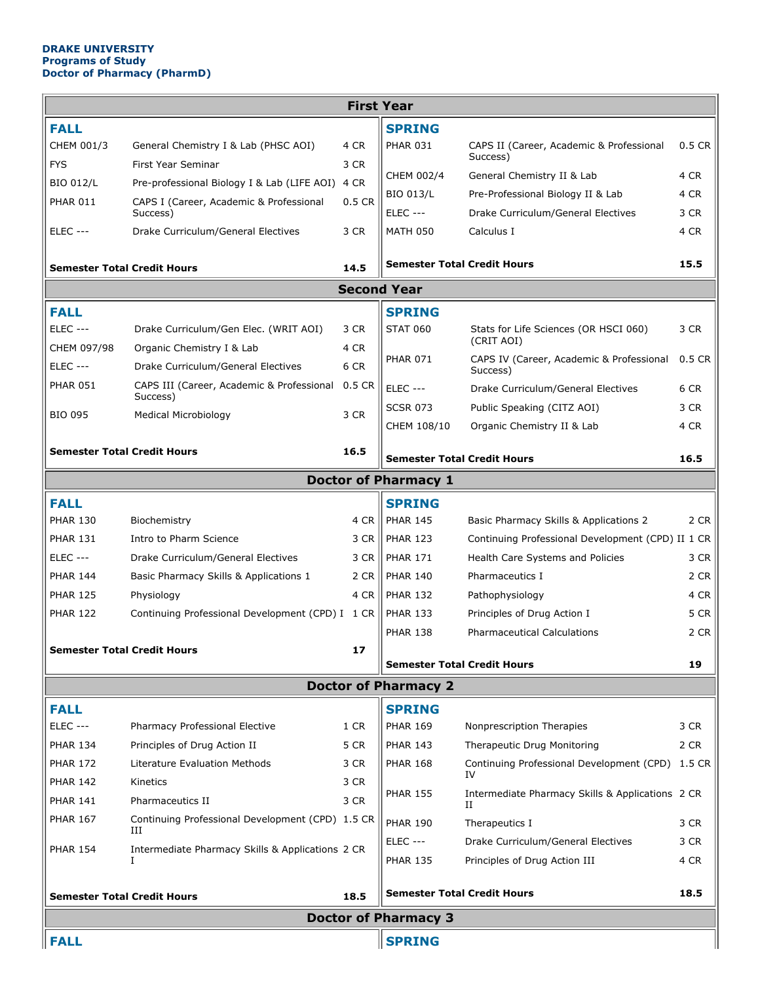## **DRAKE UNIVERSITY Programs of Study Doctor of Pharmacy (PharmD)**

| <b>First Year</b>                          |                                                       |                                    |                 |                                                       |          |  |  |  |  |  |
|--------------------------------------------|-------------------------------------------------------|------------------------------------|-----------------|-------------------------------------------------------|----------|--|--|--|--|--|
| <b>FALL</b>                                |                                                       |                                    | <b>SPRING</b>   |                                                       |          |  |  |  |  |  |
| CHEM 001/3                                 | General Chemistry I & Lab (PHSC AOI)                  | 4 CR                               | <b>PHAR 031</b> | CAPS II (Career, Academic & Professional              | $0.5$ CR |  |  |  |  |  |
| <b>FYS</b>                                 | First Year Seminar                                    | 3 CR                               |                 | Success)                                              |          |  |  |  |  |  |
| <b>BIO 012/L</b>                           | Pre-professional Biology I & Lab (LIFE AOI) 4 CR      |                                    | CHEM 002/4      | General Chemistry II & Lab                            | 4 CR     |  |  |  |  |  |
| <b>PHAR 011</b>                            | CAPS I (Career, Academic & Professional               | 0.5 CR                             | BIO 013/L       | Pre-Professional Biology II & Lab                     | 4 CR     |  |  |  |  |  |
|                                            | Success)                                              |                                    | <b>ELEC ---</b> | Drake Curriculum/General Electives                    | 3 CR     |  |  |  |  |  |
| <b>ELEC ---</b>                            | Drake Curriculum/General Electives                    | 3 CR                               | <b>MATH 050</b> | Calculus I                                            | 4 CR     |  |  |  |  |  |
| <b>Semester Total Credit Hours</b><br>14.5 |                                                       | <b>Semester Total Credit Hours</b> |                 | 15.5                                                  |          |  |  |  |  |  |
| <b>Second Year</b>                         |                                                       |                                    |                 |                                                       |          |  |  |  |  |  |
| <b>FALL</b>                                |                                                       |                                    | <b>SPRING</b>   |                                                       |          |  |  |  |  |  |
| <b>ELEC ---</b>                            | Drake Curriculum/Gen Elec. (WRIT AOI)                 | 3 CR                               | <b>STAT 060</b> | Stats for Life Sciences (OR HSCI 060)                 | 3 CR     |  |  |  |  |  |
| CHEM 097/98                                | Organic Chemistry I & Lab                             | 4 CR                               |                 | (CRIT AOI)                                            |          |  |  |  |  |  |
| <b>ELEC ---</b>                            | Drake Curriculum/General Electives                    | 6 CR                               | <b>PHAR 071</b> | CAPS IV (Career, Academic & Professional<br>Success)  | $0.5$ CR |  |  |  |  |  |
| <b>PHAR 051</b>                            | CAPS III (Career, Academic & Professional             | 0.5 CR                             | <b>ELEC ---</b> | Drake Curriculum/General Electives                    | 6 CR     |  |  |  |  |  |
| <b>BIO 095</b>                             | Success)<br><b>Medical Microbiology</b>               | 3 CR                               | <b>SCSR 073</b> | Public Speaking (CITZ AOI)                            | 3 CR     |  |  |  |  |  |
|                                            |                                                       |                                    | CHEM 108/10     | Organic Chemistry II & Lab                            | 4 CR     |  |  |  |  |  |
| <b>Semester Total Credit Hours</b>         |                                                       | 16.5                               |                 |                                                       |          |  |  |  |  |  |
|                                            |                                                       | <b>Semester Total Credit Hours</b> |                 | 16.5                                                  |          |  |  |  |  |  |
| <b>Doctor of Pharmacy 1</b>                |                                                       |                                    |                 |                                                       |          |  |  |  |  |  |
| <b>FALL</b>                                |                                                       |                                    | <b>SPRING</b>   |                                                       |          |  |  |  |  |  |
| <b>PHAR 130</b>                            | Biochemistry                                          | 4 CR                               | <b>PHAR 145</b> | Basic Pharmacy Skills & Applications 2                | 2 CR     |  |  |  |  |  |
| <b>PHAR 131</b>                            | Intro to Pharm Science                                | 3 CR                               | <b>PHAR 123</b> | Continuing Professional Development (CPD) II 1 CR     |          |  |  |  |  |  |
| <b>ELEC ---</b>                            | Drake Curriculum/General Electives                    | 3 CR                               | <b>PHAR 171</b> | Health Care Systems and Policies                      | 3 CR     |  |  |  |  |  |
| <b>PHAR 144</b>                            | Basic Pharmacy Skills & Applications 1                | 2 CR                               | <b>PHAR 140</b> | Pharmaceutics I                                       | 2 CR     |  |  |  |  |  |
| <b>PHAR 125</b>                            | Physiology                                            | 4 CR                               | <b>PHAR 132</b> | Pathophysiology                                       | 4 CR     |  |  |  |  |  |
| <b>PHAR 122</b>                            | Continuing Professional Development (CPD) I 1 CR      |                                    | <b>PHAR 133</b> | Principles of Drug Action I                           | 5 CR     |  |  |  |  |  |
|                                            |                                                       | 17                                 | <b>PHAR 138</b> | <b>Pharmaceutical Calculations</b>                    | 2 CR     |  |  |  |  |  |
| <b>Semester Total Credit Hours</b>         |                                                       | <b>Semester Total Credit Hours</b> |                 | 19                                                    |          |  |  |  |  |  |
| <b>Doctor of Pharmacy 2</b>                |                                                       |                                    |                 |                                                       |          |  |  |  |  |  |
| <b>FALL</b>                                |                                                       |                                    | <b>SPRING</b>   |                                                       |          |  |  |  |  |  |
| <b>ELEC ---</b>                            | Pharmacy Professional Elective                        | 1 CR                               | <b>PHAR 169</b> | Nonprescription Therapies                             | 3 CR     |  |  |  |  |  |
| <b>PHAR 134</b>                            | Principles of Drug Action II                          | 5 CR                               | <b>PHAR 143</b> | Therapeutic Drug Monitoring                           | 2 CR     |  |  |  |  |  |
| <b>PHAR 172</b>                            | Literature Evaluation Methods                         | 3 CR                               | <b>PHAR 168</b> | Continuing Professional Development (CPD)             | 1.5 CR   |  |  |  |  |  |
| <b>PHAR 142</b>                            | Kinetics                                              | 3 CR                               |                 | IV                                                    |          |  |  |  |  |  |
| <b>PHAR 141</b>                            | Pharmaceutics II                                      | 3 CR                               | <b>PHAR 155</b> | Intermediate Pharmacy Skills & Applications 2 CR<br>и |          |  |  |  |  |  |
| <b>PHAR 167</b>                            | Continuing Professional Development (CPD) 1.5 CR      |                                    | <b>PHAR 190</b> | Therapeutics I                                        | 3 CR     |  |  |  |  |  |
|                                            | Ш                                                     |                                    | <b>ELEC ---</b> | Drake Curriculum/General Electives                    | 3 CR     |  |  |  |  |  |
| <b>PHAR 154</b>                            | Intermediate Pharmacy Skills & Applications 2 CR<br>I |                                    | <b>PHAR 135</b> | Principles of Drug Action III                         | 4 CR     |  |  |  |  |  |
|                                            |                                                       |                                    |                 |                                                       |          |  |  |  |  |  |
| <b>Semester Total Credit Hours</b>         |                                                       | <b>Semester Total Credit Hours</b> |                 | 18.5                                                  |          |  |  |  |  |  |
| <b>Doctor of Pharmacy 3</b>                |                                                       |                                    |                 |                                                       |          |  |  |  |  |  |
| <b>FALL</b><br><b>SPRING</b>               |                                                       |                                    |                 |                                                       |          |  |  |  |  |  |